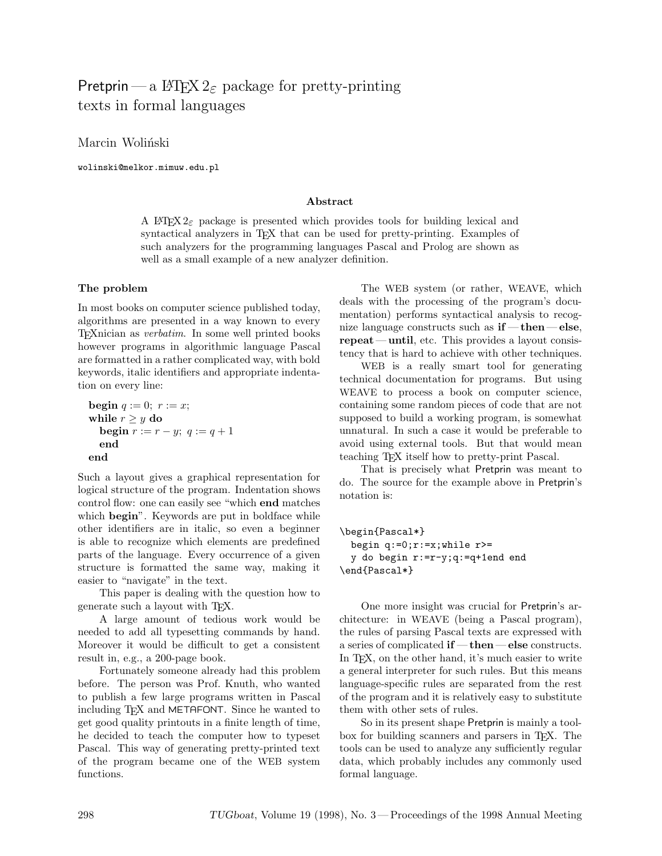# Pretprin — a L<sup>AT</sup>FX 2<sub>ε</sub> package for pretty-printing texts in formal languages

Marcin Woliński

wolinski@melkor.mimuw.edu.pl

#### **Abstract**

A LAT<sub>EX</sub> 2<sub> $\epsilon$ </sub> package is presented which provides tools for building lexical and syntactical analyzers in TEX that can be used for pretty-printing. Examples of such analyzers for the programming languages Pascal and Prolog are shown as well as a small example of a new analyzer definition.

#### **The problem**

In most books on computer science published today, algorithms are presented in a way known to every TEXnician as verbatim. In some well printed books however programs in algorithmic language Pascal are formatted in a rather complicated way, with bold keywords, italic identifiers and appropriate indentation on every line:

begin 
$$
q := 0; r := x;
$$
  
\nwhile  $r \geq y$  do  
\nbegin  $r := r - y; q := q + 1$   
\nend  
\nend

Such a layout gives a graphical representation for logical structure of the program. Indentation shows control flow: one can easily see "which **end** matches which **begin**". Keywords are put in boldface while other identifiers are in italic, so even a beginner is able to recognize which elements are predefined parts of the language. Every occurrence of a given structure is formatted the same way, making it easier to "navigate" in the text.

This paper is dealing with the question how to generate such a layout with TEX.

A large amount of tedious work would be needed to add all typesetting commands by hand. Moreover it would be difficult to get a consistent result in, e.g., a 200-page book.

Fortunately someone already had this problem before. The person was Prof. Knuth, who wanted to publish a few large programs written in Pascal including T<sub>F</sub>X and METAFONT. Since he wanted to get good quality printouts in a finite length of time, he decided to teach the computer how to typeset Pascal. This way of generating pretty-printed text of the program became one of the WEB system functions.

The WEB system (or rather, WEAVE, which deals with the processing of the program's documentation) performs syntactical analysis to recognize language constructs such as **if** — **then**— **else**, **repeat** — **until**, etc. This provides a layout consistency that is hard to achieve with other techniques.

WEB is a really smart tool for generating technical documentation for programs. But using WEAVE to process a book on computer science, containing some random pieces of code that are not supposed to build a working program, is somewhat unnatural. In such a case it would be preferable to avoid using external tools. But that would mean teaching TEX itself how to pretty-print Pascal.

That is precisely what Pretprin was meant to do. The source for the example above in Pretprin's notation is:

```
\begin{Pascal*}
 begin q:=0; r:=x; while r>=y do begin r:=r-y;q:=q+1end end
\end{Pascal*}
```
One more insight was crucial for Pretprin's architecture: in WEAVE (being a Pascal program), the rules of parsing Pascal texts are expressed with a series of complicated **if** — **then**— **else** constructs. In T<sub>EX</sub>, on the other hand, it's much easier to write a general interpreter for such rules. But this means language-specific rules are separated from the rest of the program and it is relatively easy to substitute them with other sets of rules.

So in its present shape Pretprin is mainly a toolbox for building scanners and parsers in TEX. The tools can be used to analyze any sufficiently regular data, which probably includes any commonly used formal language.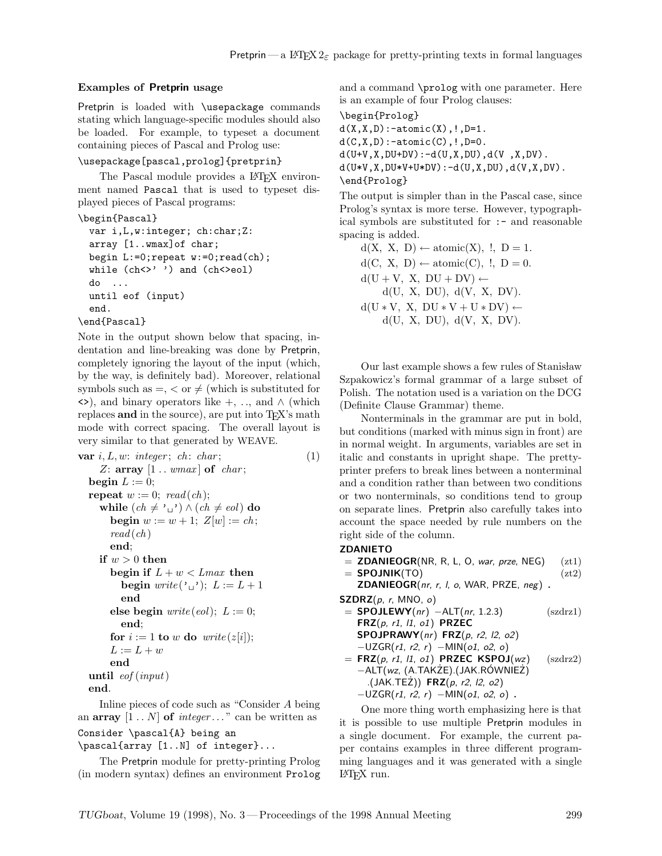### **Examples of Pretprin usage**

Pretprin is loaded with \usepackage commands stating which language-specific modules should also be loaded. For example, to typeset a document containing pieces of Pascal and Prolog use:

### \usepackage[pascal,prolog]{pretprin}

The Pascal module provides a L<sup>AT</sup>FX environment named Pascal that is used to typeset displayed pieces of Pascal programs:

\begin{Pascal}

```
var i,L,w:integer; ch:char;Z:
array [1..wmax]of char;
begin L:=0;repeat w:=0;read(ch);
while (ch < \rangle' ') and (ch < > e01)do ...
until eof (input)
end.
```

```
\end{Pascal}
```
Note in the output shown below that spacing, indentation and line-breaking was done by Pretprin, completely ignoring the layout of the input (which, by the way, is definitely bad). Moreover, relational symbols such as  $=$ ,  $\lt$  or  $\neq$  (which is substituted for  $\langle \rangle$ , and binary operators like +, ..., and  $\wedge$  (which replaces **and** in the source), are put into T<sub>E</sub>X's math mode with correct spacing. The overall layout is very similar to that generated by WEAVE.

```
var i, L, w: integer; ch: char; (1)
    Z: array [1 \tldots wmax] of char;
  begin L := 0;
  repeat w := 0; read(ch);
    while (ch ≠ ' □') ∧ (ch ≠ eol) do
      begin w := w + 1; Z[w] := ch;
      read(ch)end;
    if w > 0 then
      begin if L + w < L max then
        begin write (\cdot_{\sqcup}); L := L + 1end
      else begin write(eol); L := 0;end;
      for i := 1 to w do write (z[i]);
      L := L + wend
  until eof (input)
  end.
```
Inline pieces of code such as "Consider A being an  $array \t[1..N]$  of  $integer...$ " can be written as Consider \pascal{A} being an

```
\pascal{array [1..N] of integer}...
```
The Pretprin module for pretty-printing Prolog (in modern syntax) defines an environment Prolog and a command \prolog with one parameter. Here is an example of four Prolog clauses:

```
\begin{Prolog}
```
 $d(X, X, D) : =$ atomic $(X), !$ ,  $D=1$ .  $d(C, X, D) : -atomic(C), !$ ,  $D=0$ .  $d(U+V,X,DU+DV):-d(U,X,DU),d(V,X,DV)$ .  $d(U*V,X,DU*V+U*DV):-d(U,X,DU),d(V,X,DV)$ . \end{Prolog}

The output is simpler than in the Pascal case, since Prolog's syntax is more terse. However, typographical symbols are substituted for :- and reasonable spacing is added.

 $d(X, X, D) \leftarrow atomic(X),$  !,  $D = 1$ .  $d(C, X, D) \leftarrow atomic(C),$  !,  $D = 0$ .  $d(U + V, X, DU + DV) \leftarrow$  $d(U, X, DU), d(V, X, DV).$  $d(U * V, X, DU * V + U * DV) \leftarrow$  $d(U, X, DU), d(V, X, DV).$ 

Our last example shows a few rules of Stanisław Szpakowicz's formal grammar of a large subset of Polish. The notation used is a variation on the DCG (Definite Clause Grammar) theme.

Nonterminals in the grammar are put in bold, but conditions (marked with minus sign in front) are in normal weight. In arguments, variables are set in italic and constants in upright shape. The prettyprinter prefers to break lines between a nonterminal and a condition rather than between two conditions or two nonterminals, so conditions tend to group on separate lines. Pretprin also carefully takes into account the space needed by rule numbers on the right side of the column.

### **ZDANIETO**

 $=$  **ZDANIEOGR**(NR, R, L, O, war, prze, NEG) (zt1)  $=$  **SPOJNIK**(TO) (zt2)

**ZDANIEOGR**(nr, r, l, o, WAR, PRZE, neg) **.**

- **SZDRZ**(p, r, MNO, o)
- $=$  **SPOJLEWY**( $nr$ )  $-ALT(nr, 1.2.3)$  (szdrz1) **FRZ**(p, r1, l1, o1) **PRZEC SPOJPRAWY**(nr) **FRZ**(p, r2, l2, o2)  $-UZGR(r1, r2, r) - MIN(o1, o2, o)$  $=$  **FRZ**( $p$ ,  $r1$ ,  $l1$ ,  $o1$ ) **PRZEC KSPOJ**( $wz$ ) (szdrz2) <sup>−</sup>ALT(wz, (A.TAKZE).(JAK.R ˙ OWNIE ´ Z)˙

\n
$$
\begin{array}{c}\n -ALI(WZ, (A. IANZE). (JAN. KUVV) \\
 (JAK. TEZ)) \quad FRZ(p, r2, l2, o2)\n \end{array}
$$
\n

$$
-UZGR(r1, r2, r) - MIN(o1, o2, o)
$$
.

One more thing worth emphasizing here is that it is possible to use multiple Pretprin modules in a single document. For example, the current paper contains examples in three different programming languages and it was generated with a single LATEX run.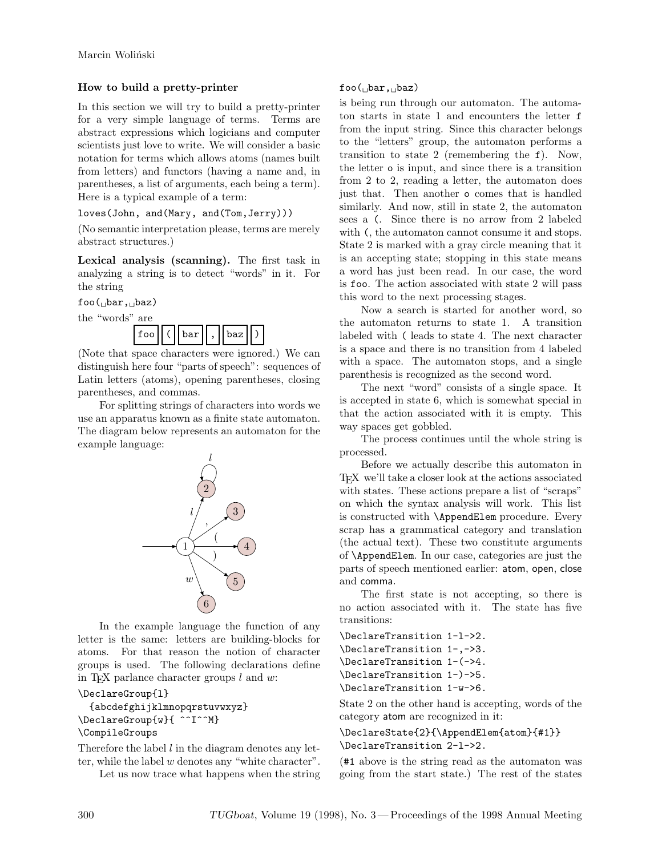## **How to build a pretty-printer**

In this section we will try to build a pretty-printer for a very simple language of terms. Terms are abstract expressions which logicians and computer scientists just love to write. We will consider a basic notation for terms which allows atoms (names built from letters) and functors (having a name and, in parentheses, a list of arguments, each being a term). Here is a typical example of a term:

loves(John, and(Mary, and(Tom,Jerry)))

(No semantic interpretation please, terms are merely abstract structures.)

**Lexical analysis (scanning).** The first task in analyzing a string is to detect "words" in it. For the string

 $foo($ <sub>D</sub>bar,  $_b$ baz)



(Note that space characters were ignored.) We can distinguish here four "parts of speech": sequences of Latin letters (atoms), opening parentheses, closing parentheses, and commas.

For splitting strings of characters into words we use an apparatus known as a finite state automaton. The diagram below represents an automaton for the example language:



In the example language the function of any letter is the same: letters are building-blocks for atoms. For that reason the notion of character groups is used. The following declarations define in T<sub>E</sub>X parlance character groups  $l$  and  $w$ :

### \DeclareGroup{l}

```
{abcdefghijklmnopqrstuvwxyz}
\DeclareGroup{w}{ ^^I^^M}
\CompileGroups
```
Therefore the label  $l$  in the diagram denotes any letter, while the label w denotes any "white character".

Let us now trace what happens when the string

## $foo($ bar, baz)

is being run through our automaton. The automaton starts in state 1 and encounters the letter f from the input string. Since this character belongs to the "letters" group, the automaton performs a transition to state 2 (remembering the f). Now, the letter o is input, and since there is a transition from 2 to 2, reading a letter, the automaton does just that. Then another o comes that is handled similarly. And now, still in state 2, the automaton sees a (. Since there is no arrow from 2 labeled with (, the automaton cannot consume it and stops. State 2 is marked with a gray circle meaning that it is an accepting state; stopping in this state means a word has just been read. In our case, the word is foo. The action associated with state 2 will pass this word to the next processing stages.

Now a search is started for another word, so the automaton returns to state 1. A transition labeled with ( leads to state 4. The next character is a space and there is no transition from 4 labeled with a space. The automaton stops, and a single parenthesis is recognized as the second word.

The next "word" consists of a single space. It is accepted in state 6, which is somewhat special in that the action associated with it is empty. This way spaces get gobbled.

The process continues until the whole string is processed.

Before we actually describe this automaton in TEX we'll take a closer look at the actions associated with states. These actions prepare a list of "scraps" on which the syntax analysis will work. This list is constructed with \AppendElem procedure. Every scrap has a grammatical category and translation (the actual text). These two constitute arguments of \AppendElem. In our case, categories are just the parts of speech mentioned earlier: atom, open, close and comma.

The first state is not accepting, so there is no action associated with it. The state has five transitions:

\DeclareTransition 1-l->2. \DeclareTransition 1-,->3. \DeclareTransition 1-(->4. \DeclareTransition 1-)->5. \DeclareTransition 1-w->6.

State 2 on the other hand is accepting, words of the category atom are recognized in it:

## \DeclareState{2}{\AppendElem{atom}{#1}} \DeclareTransition 2-l->2.

(#1 above is the string read as the automaton was going from the start state.) The rest of the states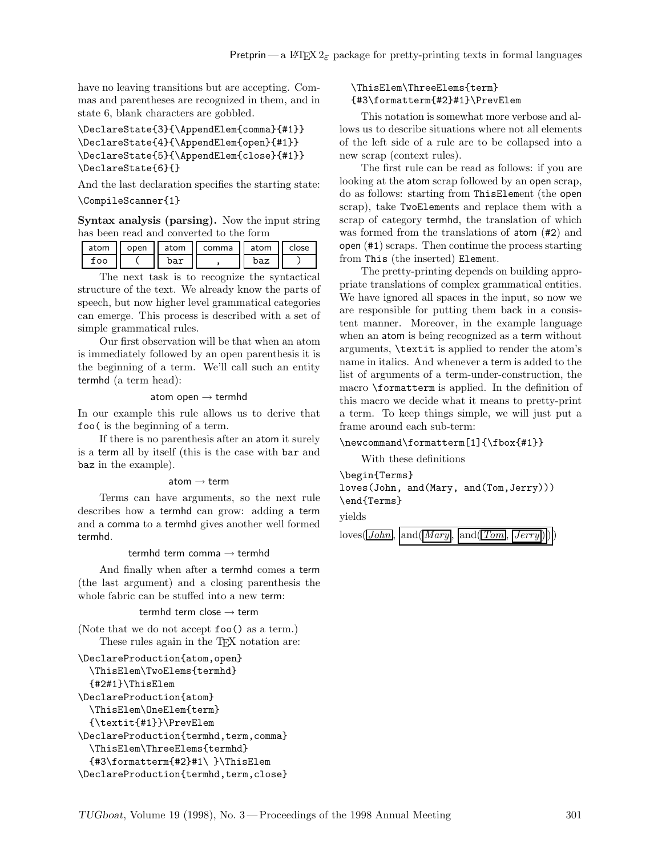have no leaving transitions but are accepting. Commas and parentheses are recognized in them, and in state 6, blank characters are gobbled.

```
\DeclareState{3}{\AppendElem{comma}{#1}}
\DeclareState{4}{\AppendElem{open}{#1}}
\DeclareState{5}{\AppendElem{close}{#1}}
\DeclareState{6}{}
```
And the last declaration specifies the starting state: \CompileScanner{1}

**Syntax analysis (parsing).** Now the input string has been read and converted to the form

| atom | open | atom | comma | atom | :Iose |
|------|------|------|-------|------|-------|
| :00  |      | bar  |       | baz  |       |

The next task is to recognize the syntactical structure of the text. We already know the parts of speech, but now higher level grammatical categories can emerge. This process is described with a set of simple grammatical rules.

Our first observation will be that when an atom is immediately followed by an open parenthesis it is the beginning of a term. We'll call such an entity termhd (a term head):

#### atom open  $\rightarrow$  termhd

In our example this rule allows us to derive that foo( is the beginning of a term.

If there is no parenthesis after an atom it surely is a term all by itself (this is the case with bar and baz in the example).

#### atom  $\rightarrow$  term

Terms can have arguments, so the next rule describes how a termhd can grow: adding a term and a comma to a termhd gives another well formed termhd.

#### termhd term comma  $\rightarrow$  termhd

And finally when after a termhd comes a term (the last argument) and a closing parenthesis the whole fabric can be stuffed into a new term:

#### termhd term close  $\rightarrow$  term

(Note that we do not accept foo() as a term.) These rules again in the T<sub>E</sub>X notation are:

```
\DeclareProduction{atom,open}
  \ThisElem\TwoElems{termhd}
  {#2#1}\ThisElem
\DeclareProduction{atom}
  \ThisElem\OneElem{term}
  {\textit{#1}}\PrevElem
\DeclareProduction{termhd,term,comma}
  \ThisElem\ThreeElems{termhd}
  {#3\formatterm{#2}#1\ }\ThisElem
\DeclareProduction{termhd,term,close}
```
## \ThisElem\ThreeElems{term} {#3\formatterm{#2}#1}\PrevElem

This notation is somewhat more verbose and allows us to describe situations where not all elements of the left side of a rule are to be collapsed into a new scrap (context rules).

The first rule can be read as follows: if you are looking at the atom scrap followed by an open scrap, do as follows: starting from ThisElement (the open scrap), take TwoElements and replace them with a scrap of category termhd, the translation of which was formed from the translations of atom (#2) and open (#1) scraps. Then continue the process starting from This (the inserted) Element.

The pretty-printing depends on building appropriate translations of complex grammatical entities. We have ignored all spaces in the input, so now we are responsible for putting them back in a consistent manner. Moreover, in the example language when an atom is being recognized as a term without arguments, \textit is applied to render the atom's name in italics. And whenever a term is added to the list of arguments of a term-under-construction, the macro \formatterm is applied. In the definition of this macro we decide what it means to pretty-print a term. To keep things simple, we will just put a frame around each sub-term:

#### \newcommand\formatterm[1]{\fbox{#1}}

With these definitions

## \begin{Terms}

loves(John, and(Mary, and(Tom,Jerry))) \end{Terms}

yields

$$
loves(\boxed{John}, \boxed{and(\boxed{Mary}, \boxed{and(\boxed{Tom}, \boxed{Jerry})}))
$$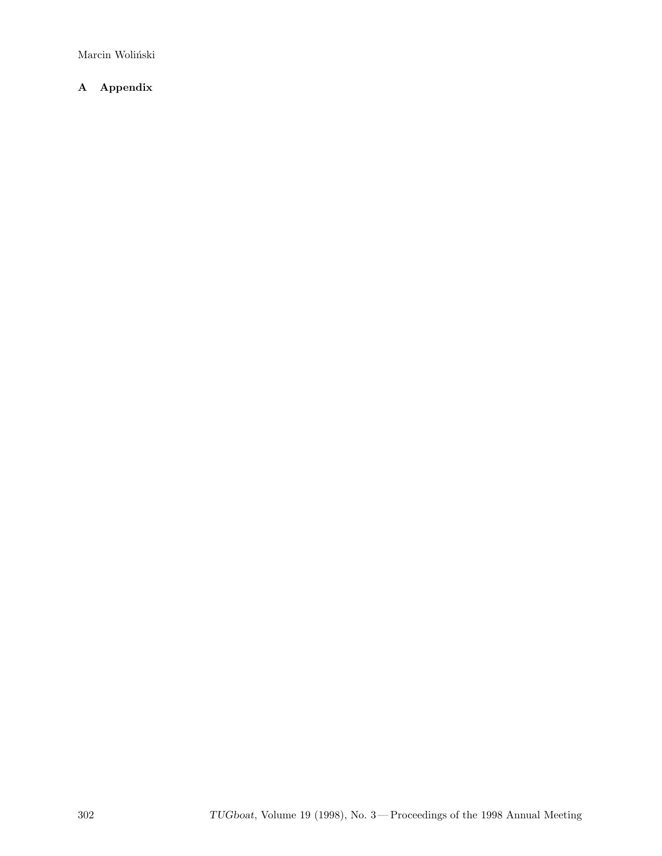Marcin Woliński

## **A Appendix**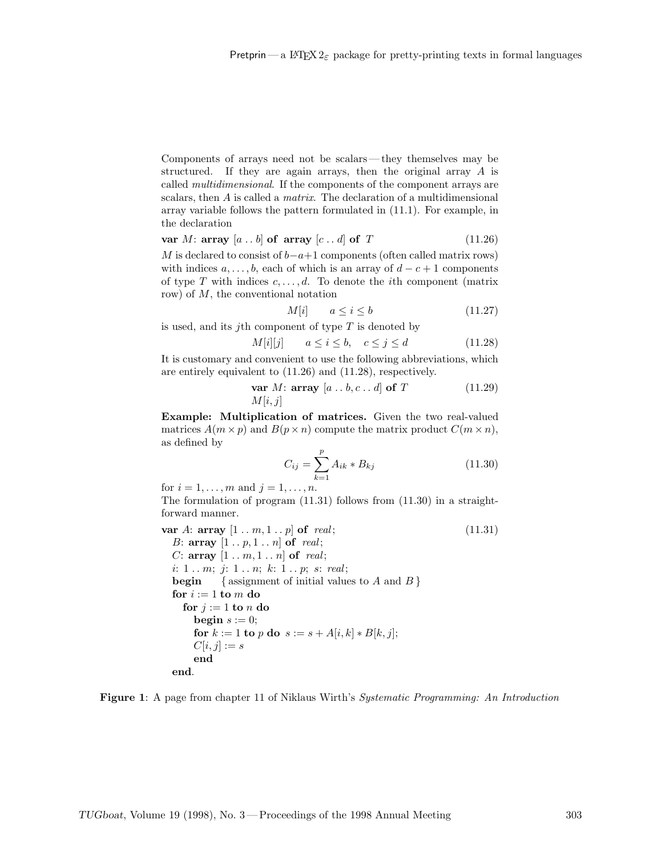Components of arrays need not be scalars— they themselves may be structured. If they are again arrays, then the original array A is called multidimensional. If the components of the component arrays are scalars, then A is called a matrix. The declaration of a multidimensional array variable follows the pattern formulated in (11.1). For example, in the declaration

**var** M: **array**  $[a \tldots b]$  **of array**  $[c \tldots d]$  **of** T (11.26)

M is declared to consist of  $b-a+1$  components (often called matrix rows) with indices  $a, \ldots, b$ , each of which is an array of  $d - c + 1$  components of type T with indices  $c, \ldots, d$ . To denote the *i*th component (matrix row) of M, the conventional notation

$$
M[i] \qquad a \le i \le b \tag{11.27}
$$

is used, and its jth component of type  $T$  is denoted by

$$
M[i][j] \qquad a \le i \le b, \quad c \le j \le d \tag{11.28}
$$

It is customary and convenient to use the following abbreviations, which are entirely equivalent to (11.26) and (11.28), respectively.

$$
\begin{array}{ll}\n\textbf{var } M: \textbf{array} \ [a \dots b, c \dots d] \textbf{of } T \\
M[i, j]\n\end{array} \n\tag{11.29}
$$

**Example: Multiplication of matrices.** Given the two real-valued matrices  $A(m \times p)$  and  $B(p \times n)$  compute the matrix product  $C(m \times n)$ , as defined by

$$
C_{ij} = \sum_{k=1}^{p} A_{ik} * B_{kj}
$$
 (11.30)

for  $i = 1, \ldots, m$  and  $j = 1, \ldots, n$ .

The formulation of program (11.31) follows from (11.30) in a straightforward manner.

**var** A: **array**  $[1 \t ... m, 1 \t ... p]$  **of** *real*; (11.31) B:  $\arctan \left[1 \ldots p, 1 \ldots n\right]$  of real; C:  $array \t[1..m,1..n]$  of real; i:  $1 \ldots m$ ;  $j: 1 \ldots n$ ;  $k: 1 \ldots p$ ; s: real; **begin** { assignment of initial values to  $A$  and  $B$  } **for**  $i := 1$  **to**  $m$  **do for**  $j := 1$  **to**  $n$  **do begin**  $s := 0$ ; **for**  $k := 1$  **to** p **do**  $s := s + A[i, k] * B[k, j];$  $C[i, j] := s$ **end end**.

**Figure 1**: A page from chapter 11 of Niklaus Wirth's Systematic Programming: An Introduction